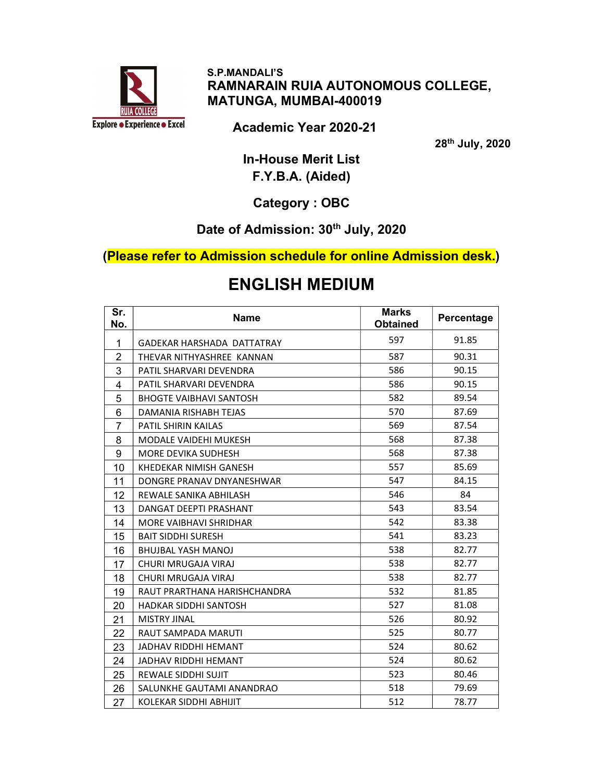

 S.P.MANDALI'S RAMNARAIN RUIA AUTONOMOUS COLLEGE, MATUNGA, MUMBAI-400019

Academic Year 2020-21

th July, 2020

In-House Merit List F.Y.B.A. (Aided)

Category : OBC

#### Date of Admission: 30<sup>th</sup> July, 2020

(Please refer to Admission schedule for online Admission desk.)

# ENGLISH MEDIUM

| Sr.<br>No.     | <b>Name</b>                    | <b>Marks</b><br><b>Obtained</b> | Percentage |
|----------------|--------------------------------|---------------------------------|------------|
| 1              | GADEKAR HARSHADA DATTATRAY     | 597                             | 91.85      |
| $\overline{2}$ | THEVAR NITHYASHREE KANNAN      | 587                             | 90.31      |
| 3              | PATIL SHARVARI DEVENDRA        | 586                             | 90.15      |
| 4              | PATIL SHARVARI DEVENDRA        | 586                             | 90.15      |
| 5              | <b>BHOGTE VAIBHAVI SANTOSH</b> | 582                             | 89.54      |
| 6              | DAMANIA RISHABH TEJAS          | 570                             | 87.69      |
| $\overline{7}$ | <b>PATIL SHIRIN KAILAS</b>     | 569                             | 87.54      |
| 8              | <b>MODALE VAIDEHI MUKESH</b>   | 568                             | 87.38      |
| 9              | <b>MORE DEVIKA SUDHESH</b>     | 568                             | 87.38      |
| 10             | KHEDEKAR NIMISH GANESH         | 557                             | 85.69      |
| 11             | DONGRE PRANAV DNYANESHWAR      | 547                             | 84.15      |
| 12             | REWALE SANIKA ABHILASH         | 546                             | 84         |
| 13             | DANGAT DEEPTI PRASHANT         | 543                             | 83.54      |
| 14             | <b>MORE VAIBHAVI SHRIDHAR</b>  | 542                             | 83.38      |
| 15             | <b>BAIT SIDDHI SURESH</b>      | 541                             | 83.23      |
| 16             | <b>BHUJBAL YASH MANOJ</b>      | 538                             | 82.77      |
| 17             | CHURI MRUGAJA VIRAJ            | 538                             | 82.77      |
| 18             | CHURI MRUGAJA VIRAJ            | 538                             | 82.77      |
| 19             | RAUT PRARTHANA HARISHCHANDRA   | 532                             | 81.85      |
| 20             | <b>HADKAR SIDDHI SANTOSH</b>   | 527                             | 81.08      |
| 21             | <b>MISTRY JINAL</b>            | 526                             | 80.92      |
| 22             | RAUT SAMPADA MARUTI            | 525                             | 80.77      |
| 23             | JADHAV RIDDHI HEMANT           | 524                             | 80.62      |
| 24             | <b>JADHAV RIDDHI HEMANT</b>    | 524                             | 80.62      |
| 25             | REWALE SIDDHI SUJIT            | 523                             | 80.46      |
| 26             | SALUNKHE GAUTAMI ANANDRAO      | 518                             | 79.69      |
| 27             | KOLEKAR SIDDHI ABHIJIT         | 512                             | 78.77      |